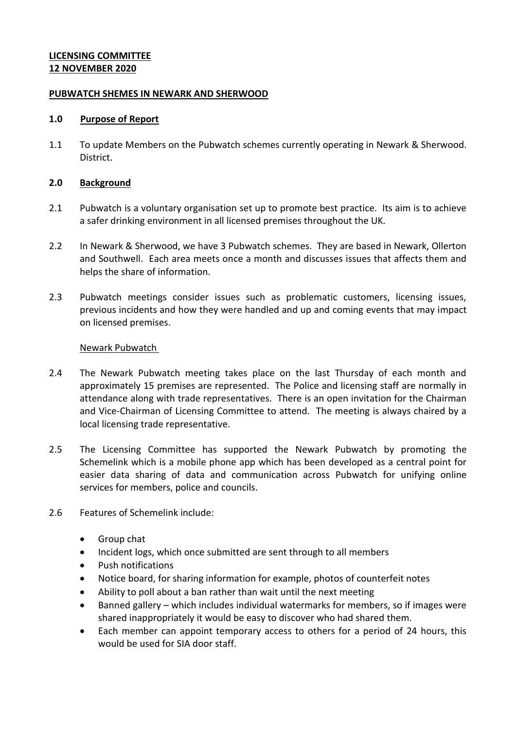## **LICENSING COMMITTEE 12 NOVEMBER 2020**

#### **PUBWATCH SHEMES IN NEWARK AND SHERWOOD**

#### **1.0 Purpose of Report**

1.1 To update Members on the Pubwatch schemes currently operating in Newark & Sherwood. District.

### **2.0 Background**

- 2.1 Pubwatch is a voluntary organisation set up to promote best practice. Its aim is to achieve a safer drinking environment in all licensed premises throughout the UK.
- 2.2 In Newark & Sherwood, we have 3 Pubwatch schemes. They are based in Newark, Ollerton and Southwell. Each area meets once a month and discusses issues that affects them and helps the share of information.
- 2.3 Pubwatch meetings consider issues such as problematic customers, licensing issues, previous incidents and how they were handled and up and coming events that may impact on licensed premises.

### Newark Pubwatch

- 2.4 The Newark Pubwatch meeting takes place on the last Thursday of each month and approximately 15 premises are represented. The Police and licensing staff are normally in attendance along with trade representatives. There is an open invitation for the Chairman and Vice-Chairman of Licensing Committee to attend. The meeting is always chaired by a local licensing trade representative.
- 2.5 The Licensing Committee has supported the Newark Pubwatch by promoting the Schemelink which is a mobile phone app which has been developed as a central point for easier data sharing of data and communication across Pubwatch for unifying online services for members, police and councils.
- 2.6 Features of Schemelink include:
	- Group chat
	- Incident logs, which once submitted are sent through to all members
	- Push notifications
	- Notice board, for sharing information for example, photos of counterfeit notes
	- Ability to poll about a ban rather than wait until the next meeting
	- Banned gallery which includes individual watermarks for members, so if images were shared inappropriately it would be easy to discover who had shared them.
	- Each member can appoint temporary access to others for a period of 24 hours, this would be used for SIA door staff.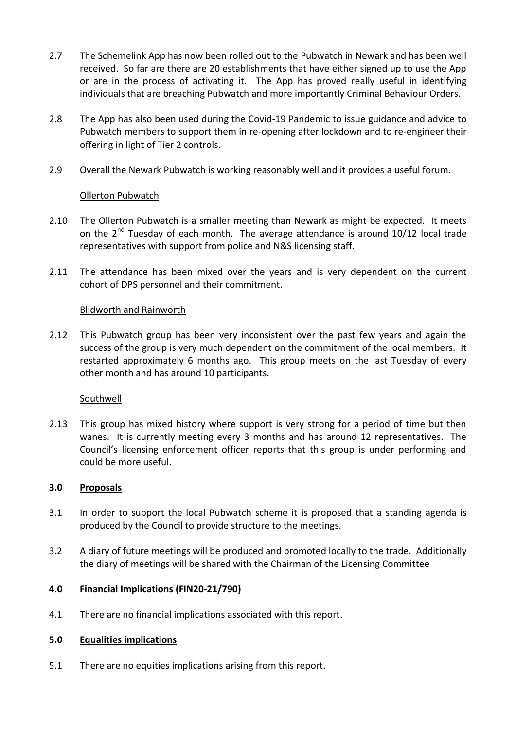- 2.7 The Schemelink App has now been rolled out to the Pubwatch in Newark and has been well received. So far are there are 20 establishments that have either signed up to use the App or are in the process of activating it. The App has proved really useful in identifying individuals that are breaching Pubwatch and more importantly Criminal Behaviour Orders.
- 2.8 The App has also been used during the Covid-19 Pandemic to issue guidance and advice to Pubwatch members to support them in re-opening after lockdown and to re-engineer their offering in light of Tier 2 controls.
- 2.9 Overall the Newark Pubwatch is working reasonably well and it provides a useful forum.

# Ollerton Pubwatch

- 2.10 The Ollerton Pubwatch is a smaller meeting than Newark as might be expected. It meets on the  $2^{nd}$  Tuesday of each month. The average attendance is around  $10/12$  local trade representatives with support from police and N&S licensing staff.
- 2.11 The attendance has been mixed over the years and is very dependent on the current cohort of DPS personnel and their commitment.

## Blidworth and Rainworth

2.12 This Pubwatch group has been very inconsistent over the past few years and again the success of the group is very much dependent on the commitment of the local members. It restarted approximately 6 months ago. This group meets on the last Tuesday of every other month and has around 10 participants.

### Southwell

2.13 This group has mixed history where support is very strong for a period of time but then wanes. It is currently meeting every 3 months and has around 12 representatives. The Council's licensing enforcement officer reports that this group is under performing and could be more useful.

### **3.0 Proposals**

- 3.1 In order to support the local Pubwatch scheme it is proposed that a standing agenda is produced by the Council to provide structure to the meetings.
- 3.2 A diary of future meetings will be produced and promoted locally to the trade. Additionally the diary of meetings will be shared with the Chairman of the Licensing Committee

# **4.0 Financial Implications (FIN20-21/790)**

4.1 There are no financial implications associated with this report.

### **5.0 Equalities implications**

5.1 There are no equities implications arising from this report.